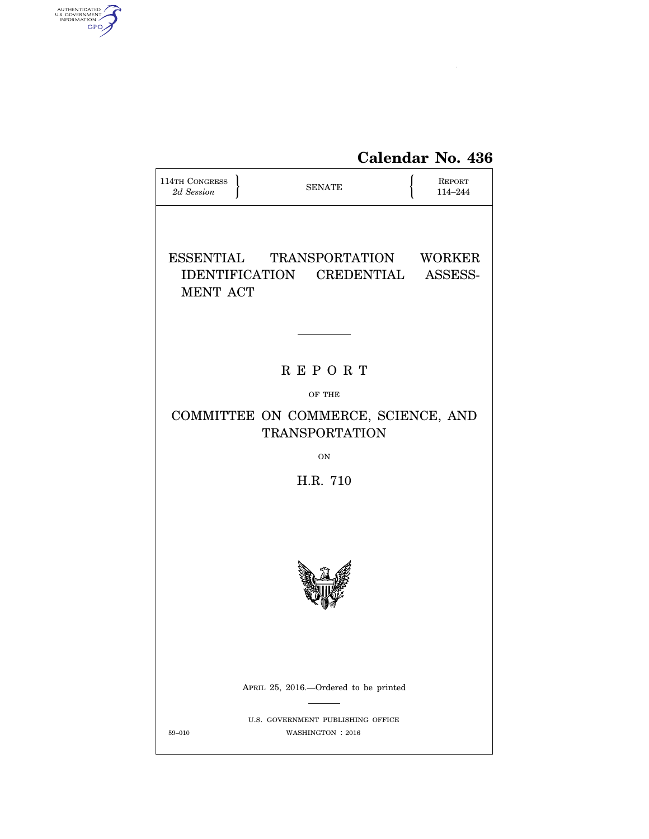

| <b>114TH CONGRESS</b><br>2d Session                          | <b>SENATE</b>                                                        | <b>REPORT</b><br>114-244 |
|--------------------------------------------------------------|----------------------------------------------------------------------|--------------------------|
| <b>MENT ACT</b>                                              | ESSENTIAL TRANSPORTATION WORKER<br>IDENTIFICATION CREDENTIAL ASSESS- |                          |
|                                                              |                                                                      |                          |
|                                                              | <b>REPORT</b>                                                        |                          |
|                                                              | OF THE                                                               |                          |
| COMMITTEE ON COMMERCE, SCIENCE, AND<br><b>TRANSPORTATION</b> |                                                                      |                          |
|                                                              | <b>ON</b>                                                            |                          |
| H.R. 710                                                     |                                                                      |                          |
|                                                              |                                                                      |                          |
|                                                              | APRIL 25, 2016.—Ordered to be printed                                |                          |
| 59-010                                                       | U.S. GOVERNMENT PUBLISHING OFFICE<br>WASHINGTON : 2016               |                          |

AUTHENTICATED

 $\widehat{\mathbf{c}}$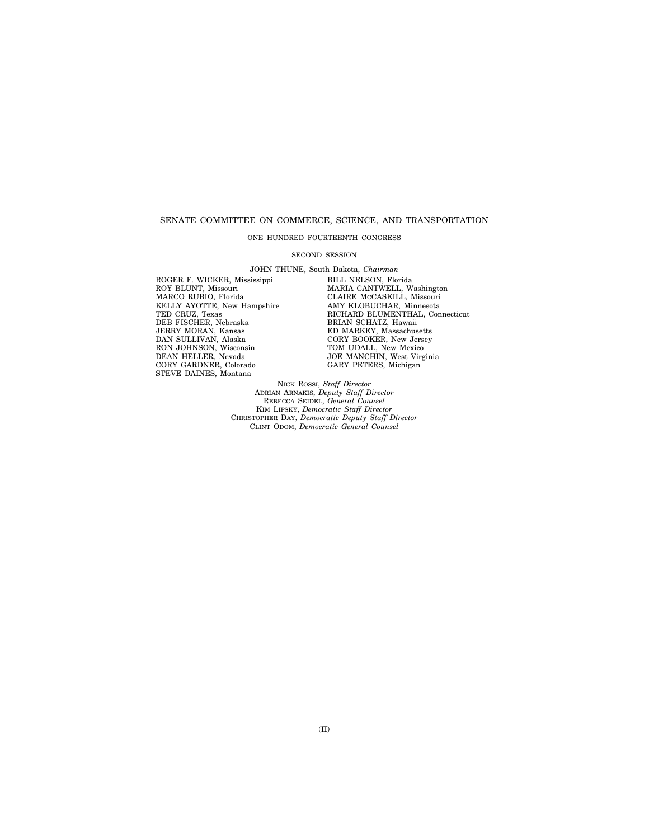## SENATE COMMITTEE ON COMMERCE, SCIENCE, AND TRANSPORTATION

## ONE HUNDRED FOURTEENTH CONGRESS

#### SECOND SESSION

JOHN THUNE, South Dakota, *Chairman*  ROGER F. WICKER, Mississippi BILL NELSON, Florida MARCO RUBIO, Florida CLAIRE MCCASKILL, Missouri KELLY AYOTTE, New Hampshire AMY KLOBUCHAR, Minnesota TED CRUZ, Texas<br>DEB FISCHER, Nebraska DEB FISCHER, Neoraska<br>JERRY MORAN, Kansas<br>DAN SULLIVAN, Alaska<br>RON JOHNSON, Wisconsin<br>DEAN HELLER, Nevada CORY GARDNER, Colorado GARY PETERS, Michigan STEVE DAINES, Montana

MARIA CANTWELL, Washington<br>CLAIRE MCCASKILL, Missouri<br>AMY KLOBUCHAR, Minnesota RICHARD BLUMENTHAL, Connecticut<br>BRIAN SCHATZ, Hawaii ED MARKEY, Massachusetts CORY BOOKER, New Jersey CONT BOOKER, New Jersey<br>TOM UDALL, New Mexico<br>JOE MANCHIN, West Virginia<br>GARY PETERS, Michigan

NICK ROSSI, *Staff Director*  ADRIAN ARNAKIS, *Deputy Staff Director*  REBECCA SEIDEL, *General Counsel*  KIM LIPSKY, *Democratic Staff Director*  CHRISTOPHER DAY, *Democratic Deputy Staff Director*  CLINT ODOM, *Democratic General Counsel*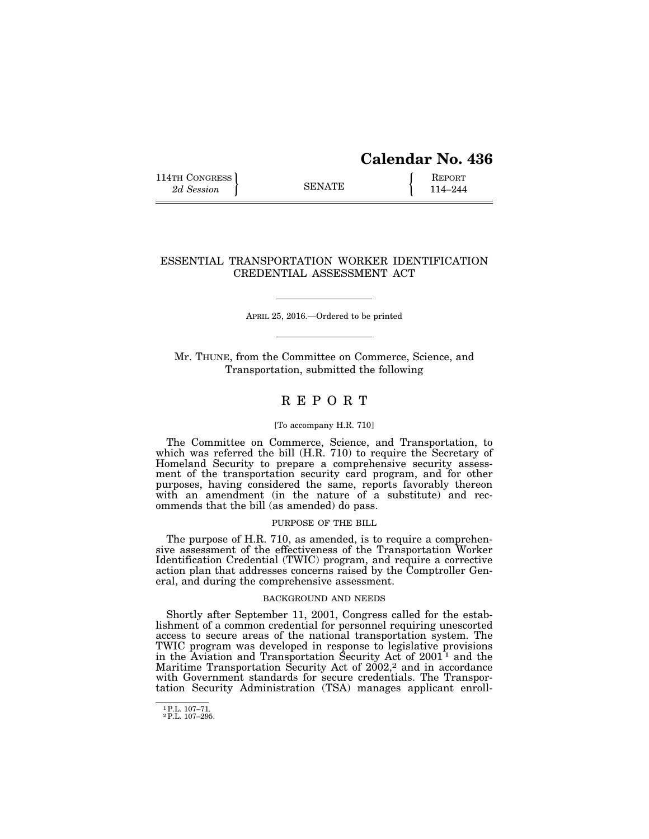# **Calendar No. 436**

114TH CONGRESS **REPORT** 2d Session **114–244** 

# ESSENTIAL TRANSPORTATION WORKER IDENTIFICATION CREDENTIAL ASSESSMENT ACT

APRIL 25, 2016.—Ordered to be printed

Mr. THUNE, from the Committee on Commerce, Science, and Transportation, submitted the following

# R E P O R T

## [To accompany H.R. 710]

The Committee on Commerce, Science, and Transportation, to which was referred the bill (H.R. 710) to require the Secretary of Homeland Security to prepare a comprehensive security assessment of the transportation security card program, and for other purposes, having considered the same, reports favorably thereon with an amendment (in the nature of a substitute) and recommends that the bill (as amended) do pass.

### PURPOSE OF THE BILL

The purpose of H.R. 710, as amended, is to require a comprehensive assessment of the effectiveness of the Transportation Worker Identification Credential (TWIC) program, and require a corrective action plan that addresses concerns raised by the Comptroller General, and during the comprehensive assessment.

## BACKGROUND AND NEEDS

Shortly after September 11, 2001, Congress called for the establishment of a common credential for personnel requiring unescorted access to secure areas of the national transportation system. The TWIC program was developed in response to legislative provisions in the Aviation and Transportation Security Act of  $2001^{\frac{1}{1}}$  and the Maritime Transportation Security Act of 2002,<sup>2</sup> and in accordance with Government standards for secure credentials. The Transportation Security Administration (TSA) manages applicant enroll-

<sup>1</sup>P.L. 107–71. 2P.L. 107–295.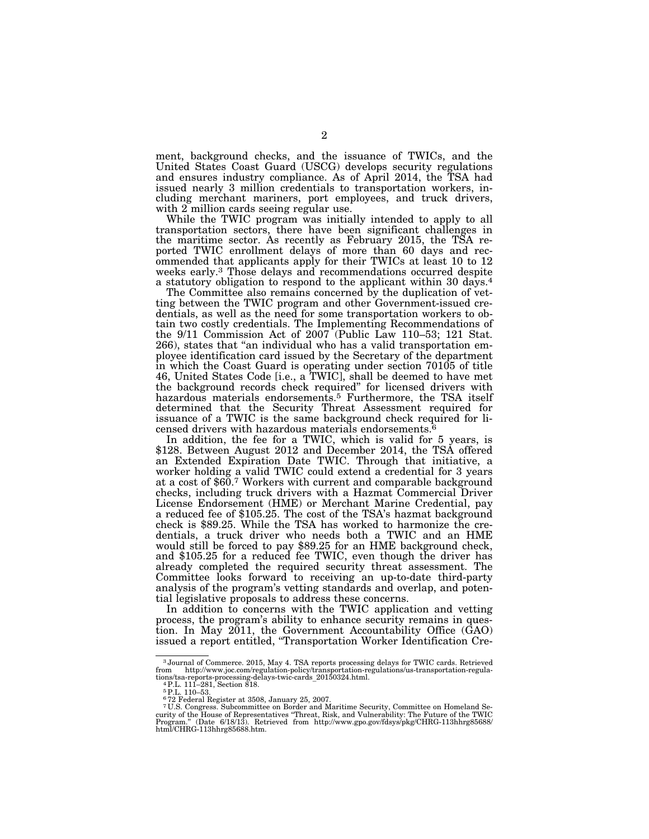ment, background checks, and the issuance of TWICs, and the United States Coast Guard (USCG) develops security regulations and ensures industry compliance. As of April 2014, the TSA had issued nearly 3 million credentials to transportation workers, including merchant mariners, port employees, and truck drivers, with 2 million cards seeing regular use.

While the TWIC program was initially intended to apply to all transportation sectors, there have been significant challenges in the maritime sector. As recently as February 2015, the TSA reported TWIC enrollment delays of more than 60 days and recommended that applicants apply for their TWICs at least 10 to 12 weeks early.3 Those delays and recommendations occurred despite a statutory obligation to respond to the applicant within 30 days.4

The Committee also remains concerned by the duplication of vetting between the TWIC program and other Government-issued credentials, as well as the need for some transportation workers to obtain two costly credentials. The Implementing Recommendations of the 9/11 Commission Act of 2007 (Public Law 110–53; 121 Stat. 266), states that ''an individual who has a valid transportation employee identification card issued by the Secretary of the department in which the Coast Guard is operating under section 70105 of title 46, United States Code [i.e., a TWIC], shall be deemed to have met the background records check required'' for licensed drivers with hazardous materials endorsements.<sup>5</sup> Furthermore, the TSA itself determined that the Security Threat Assessment required for issuance of a TWIC is the same background check required for licensed drivers with hazardous materials endorsements.6

In addition, the fee for a TWIC, which is valid for 5 years, is \$128. Between August 2012 and December 2014, the TSA offered an Extended Expiration Date TWIC. Through that initiative, a worker holding a valid TWIC could extend a credential for 3 years at a cost of \$60.7 Workers with current and comparable background checks, including truck drivers with a Hazmat Commercial Driver License Endorsement (HME) or Merchant Marine Credential, pay a reduced fee of \$105.25. The cost of the TSA's hazmat background check is \$89.25. While the TSA has worked to harmonize the credentials, a truck driver who needs both a TWIC and an HME would still be forced to pay \$89.25 for an HME background check, and \$105.25 for a reduced fee TWIC, even though the driver has already completed the required security threat assessment. The Committee looks forward to receiving an up-to-date third-party analysis of the program's vetting standards and overlap, and potential legislative proposals to address these concerns.

In addition to concerns with the TWIC application and vetting process, the program's ability to enhance security remains in question. In May 2011, the Government Accountability Office (GAO) issued a report entitled, ''Transportation Worker Identification Cre-

<sup>3</sup> Journal of Commerce. 2015, May 4. TSA reports processing delays for TWIC cards. Retrieved from http://www.joc.com/regulation-policy/transportation-regulations/us-transportation-regula-<br>tions/tsa-reports-processing-delays-twic-cards\_20150324.html.<br>- 4 P.L. 111–281, Section 818.

<sup>5</sup>P.L. 110–53. 6 72 Federal Register at 3508, January 25, 2007.

<sup>7</sup> U.S. Congress. Subcommittee on Border and Maritime Security, Committee on Homeland Security of the House of Representatives "Threat, Risk, and Vulnerability: The Future of the TWIC<br>Program." (Date 6/18/13). Retrieved from http://www.gpo.gov/fdsys/pkg/CHRG-113hhrg85688/<br>html/CHRG-113hhrg85688.htm.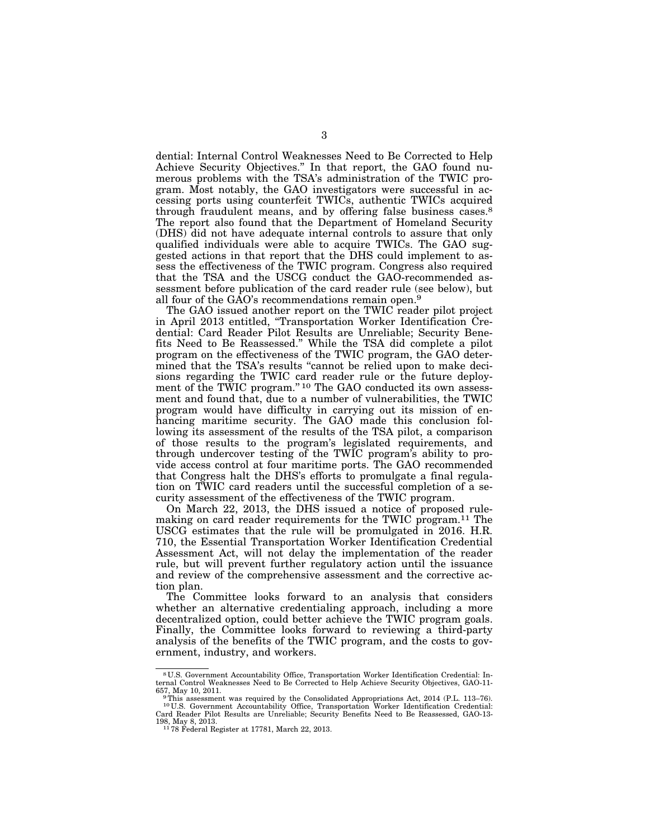dential: Internal Control Weaknesses Need to Be Corrected to Help Achieve Security Objectives.'' In that report, the GAO found numerous problems with the TSA's administration of the TWIC program. Most notably, the GAO investigators were successful in accessing ports using counterfeit TWICs, authentic TWICs acquired through fraudulent means, and by offering false business cases.<sup>8</sup> The report also found that the Department of Homeland Security (DHS) did not have adequate internal controls to assure that only qualified individuals were able to acquire TWICs. The GAO suggested actions in that report that the DHS could implement to assess the effectiveness of the TWIC program. Congress also required that the TSA and the USCG conduct the GAO-recommended assessment before publication of the card reader rule (see below), but all four of the GAO's recommendations remain open.9

The GAO issued another report on the TWIC reader pilot project in April 2013 entitled, ''Transportation Worker Identification Credential: Card Reader Pilot Results are Unreliable; Security Benefits Need to Be Reassessed.'' While the TSA did complete a pilot program on the effectiveness of the TWIC program, the GAO determined that the TSA's results ''cannot be relied upon to make decisions regarding the TWIC card reader rule or the future deployment of the TWIC program."<sup>10</sup> The GAO conducted its own assessment and found that, due to a number of vulnerabilities, the TWIC program would have difficulty in carrying out its mission of enhancing maritime security. The GAO made this conclusion following its assessment of the results of the TSA pilot, a comparison of those results to the program's legislated requirements, and through undercover testing of the TWIC program's ability to provide access control at four maritime ports. The GAO recommended that Congress halt the DHS's efforts to promulgate a final regulation on TWIC card readers until the successful completion of a security assessment of the effectiveness of the TWIC program.

On March 22, 2013, the DHS issued a notice of proposed rulemaking on card reader requirements for the TWIC program.11 The USCG estimates that the rule will be promulgated in 2016. H.R. 710, the Essential Transportation Worker Identification Credential Assessment Act, will not delay the implementation of the reader rule, but will prevent further regulatory action until the issuance and review of the comprehensive assessment and the corrective action plan.

The Committee looks forward to an analysis that considers whether an alternative credentialing approach, including a more decentralized option, could better achieve the TWIC program goals. Finally, the Committee looks forward to reviewing a third-party analysis of the benefits of the TWIC program, and the costs to government, industry, and workers.

<sup>8</sup> U.S. Government Accountability Office, Transportation Worker Identification Credential: Internal Control Weaknesses Need to Be Corrected to Help Achieve Security Objectives, GAO-11-

<sup>&</sup>lt;sup>9</sup>This assessment was required by the Consolidated Appropriations Act, 2014 (P.L. 113–76). 10 U.S. Government Accountability Office, Transportation Worker Identification Credential: Card Reader Pilot Results are Unreliable; Security Benefits Need to Be Reassessed, GAO-13- 198, May 8, 2013. 11 78 Federal Register at 17781, March 22, 2013.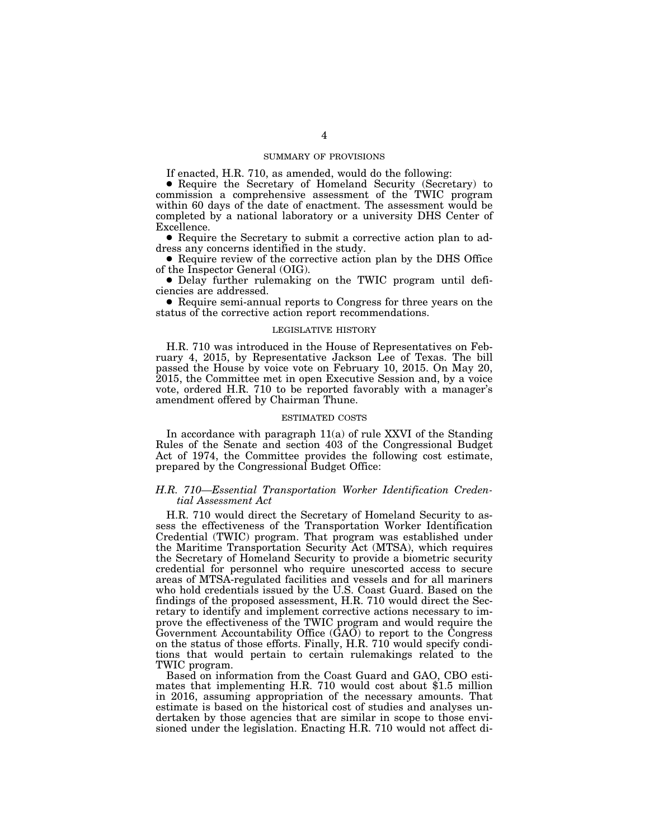## SUMMARY OF PROVISIONS

If enacted, H.R. 710, as amended, would do the following:

■ Require the Secretary of Homeland Security (Secretary) to commission a comprehensive assessment of the TWIC program within 60 days of the date of enactment. The assessment would be completed by a national laboratory or a university DHS Center of Excellence.

● Require the Secretary to submit a corrective action plan to address any concerns identified in the study.

● Require review of the corrective action plan by the DHS Office of the Inspector General (OIG).

● Delay further rulemaking on the TWIC program until deficiencies are addressed.

■ Require semi-annual reports to Congress for three years on the status of the corrective action report recommendations.

#### LEGISLATIVE HISTORY

H.R. 710 was introduced in the House of Representatives on February 4, 2015, by Representative Jackson Lee of Texas. The bill passed the House by voice vote on February 10, 2015. On May 20, 2015, the Committee met in open Executive Session and, by a voice vote, ordered H.R. 710 to be reported favorably with a manager's amendment offered by Chairman Thune.

#### ESTIMATED COSTS

In accordance with paragraph 11(a) of rule XXVI of the Standing Rules of the Senate and section 403 of the Congressional Budget Act of 1974, the Committee provides the following cost estimate, prepared by the Congressional Budget Office:

## *H.R. 710—Essential Transportation Worker Identification Credential Assessment Act*

H.R. 710 would direct the Secretary of Homeland Security to assess the effectiveness of the Transportation Worker Identification Credential (TWIC) program. That program was established under the Maritime Transportation Security Act (MTSA), which requires the Secretary of Homeland Security to provide a biometric security credential for personnel who require unescorted access to secure areas of MTSA-regulated facilities and vessels and for all mariners who hold credentials issued by the U.S. Coast Guard. Based on the findings of the proposed assessment, H.R. 710 would direct the Secretary to identify and implement corrective actions necessary to improve the effectiveness of the TWIC program and would require the Government Accountability Office (GAO) to report to the Congress on the status of those efforts. Finally, H.R. 710 would specify conditions that would pertain to certain rulemakings related to the TWIC program.

Based on information from the Coast Guard and GAO, CBO estimates that implementing H.R. 710 would cost about \$1.5 million in 2016, assuming appropriation of the necessary amounts. That estimate is based on the historical cost of studies and analyses undertaken by those agencies that are similar in scope to those envisioned under the legislation. Enacting H.R. 710 would not affect di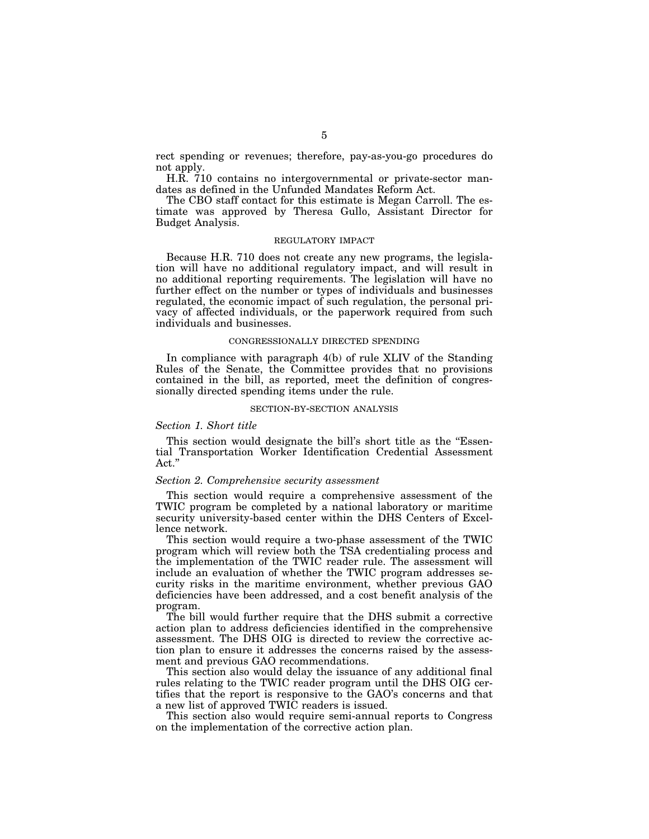rect spending or revenues; therefore, pay-as-you-go procedures do not apply.

H.R. 710 contains no intergovernmental or private-sector mandates as defined in the Unfunded Mandates Reform Act.

The CBO staff contact for this estimate is Megan Carroll. The estimate was approved by Theresa Gullo, Assistant Director for Budget Analysis.

### REGULATORY IMPACT

Because H.R. 710 does not create any new programs, the legislation will have no additional regulatory impact, and will result in no additional reporting requirements. The legislation will have no further effect on the number or types of individuals and businesses regulated, the economic impact of such regulation, the personal privacy of affected individuals, or the paperwork required from such individuals and businesses.

#### CONGRESSIONALLY DIRECTED SPENDING

In compliance with paragraph 4(b) of rule XLIV of the Standing Rules of the Senate, the Committee provides that no provisions contained in the bill, as reported, meet the definition of congressionally directed spending items under the rule.

#### SECTION-BY-SECTION ANALYSIS

## *Section 1. Short title*

This section would designate the bill's short title as the "Essential Transportation Worker Identification Credential Assessment  $\operatorname{Act."}$ 

#### *Section 2. Comprehensive security assessment*

This section would require a comprehensive assessment of the TWIC program be completed by a national laboratory or maritime security university-based center within the DHS Centers of Excellence network.

This section would require a two-phase assessment of the TWIC program which will review both the TSA credentialing process and the implementation of the TWIC reader rule. The assessment will include an evaluation of whether the TWIC program addresses security risks in the maritime environment, whether previous GAO deficiencies have been addressed, and a cost benefit analysis of the program.

The bill would further require that the DHS submit a corrective action plan to address deficiencies identified in the comprehensive assessment. The DHS OIG is directed to review the corrective action plan to ensure it addresses the concerns raised by the assessment and previous GAO recommendations.

This section also would delay the issuance of any additional final rules relating to the TWIC reader program until the DHS OIG certifies that the report is responsive to the GAO's concerns and that a new list of approved TWIC readers is issued.

This section also would require semi-annual reports to Congress on the implementation of the corrective action plan.